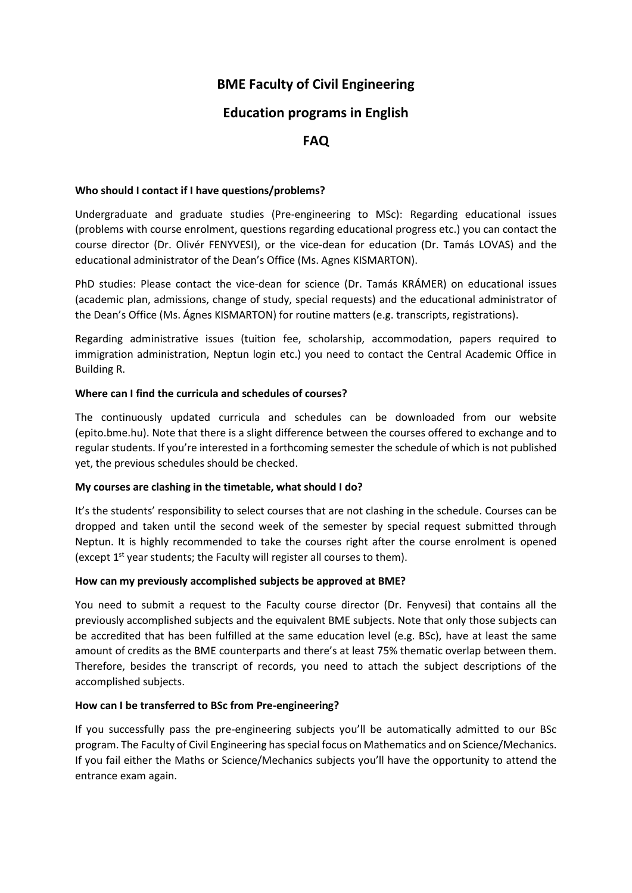# **BME Faculty of Civil Engineering**

## **Education programs in English**

## **FAQ**

## **Who should I contact if I have questions/problems?**

Undergraduate and graduate studies (Pre-engineering to MSc): Regarding educational issues (problems with course enrolment, questions regarding educational progress etc.) you can contact the course director (Dr. Olivér FENYVESI), or the vice-dean for education (Dr. Tamás LOVAS) and the educational administrator of the Dean's Office (Ms. Agnes KISMARTON).

PhD studies: Please contact the vice-dean for science (Dr. Tamás KRÁMER) on educational issues (academic plan, admissions, change of study, special requests) and the educational administrator of the Dean's Office (Ms. Ágnes KISMARTON) for routine matters (e.g. transcripts, registrations).

Regarding administrative issues (tuition fee, scholarship, accommodation, papers required to immigration administration, Neptun login etc.) you need to contact the Central Academic Office in Building R.

## **Where can I find the curricula and schedules of courses?**

The continuously updated curricula and schedules can be downloaded from our website (epito.bme.hu). Note that there is a slight difference between the courses offered to exchange and to regular students. If you're interested in a forthcoming semester the schedule of which is not published yet, the previous schedules should be checked.

#### **My courses are clashing in the timetable, what should I do?**

It's the students' responsibility to select courses that are not clashing in the schedule. Courses can be dropped and taken until the second week of the semester by special request submitted through Neptun. It is highly recommended to take the courses right after the course enrolment is opened (except  $1^{st}$  year students; the Faculty will register all courses to them).

#### **How can my previously accomplished subjects be approved at BME?**

You need to submit a request to the Faculty course director (Dr. Fenyvesi) that contains all the previously accomplished subjects and the equivalent BME subjects. Note that only those subjects can be accredited that has been fulfilled at the same education level (e.g. BSc), have at least the same amount of credits as the BME counterparts and there's at least 75% thematic overlap between them. Therefore, besides the transcript of records, you need to attach the subject descriptions of the accomplished subjects.

## **How can I be transferred to BSc from Pre-engineering?**

If you successfully pass the pre-engineering subjects you'll be automatically admitted to our BSc program. The Faculty of Civil Engineering has special focus on Mathematics and on Science/Mechanics. If you fail either the Maths or Science/Mechanics subjects you'll have the opportunity to attend the entrance exam again.